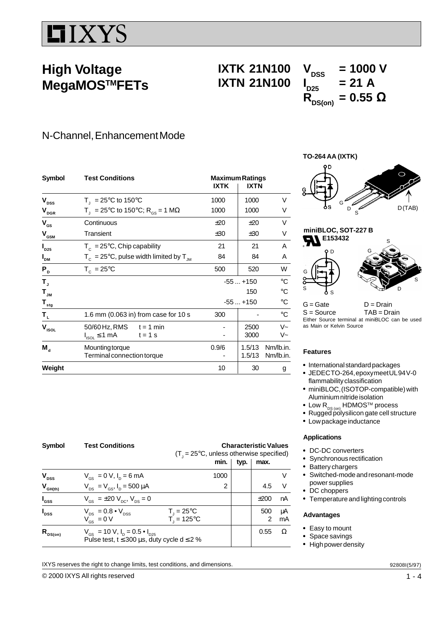# **IIXYS**

## **High Voltage MegaMOSTMFETs**

# **IXTK 21N100**  $V_{DSS}$  = 1000 V<br>**IXTN 21N100**  $I_{D25}$  = 21 A **IXTN 21N100**

# $R_{DS(on)} = 0.55$  Ω

### N-Channel, Enhancement Mode

| <b>Symbol</b>                                                | <b>Test Conditions</b>                                       | <b>Maximum Ratings</b><br><b>IXTK</b> | <b>IXTN</b> |             |
|--------------------------------------------------------------|--------------------------------------------------------------|---------------------------------------|-------------|-------------|
| $\mathbf{V}_{\text{DSS}}$                                    | $T_{\text{I}}$ = 25°C to 150°C                               | 1000                                  | 1000        | V           |
| $\mathbf{V}_{\texttt{DGR}}$                                  | $T_1 = 25^{\circ}$ C to 150°C; R <sub>os</sub> = 1 MΩ        | 1000                                  | 1000        | V           |
| $V_{GS}$                                                     | Continuous                                                   | ±20                                   | ±20         | V           |
| $\mathbf{V}_{\mathbf{G}\underline{\mathbf{S}\underline{M}}}$ | Transient                                                    | ±30                                   | ±30         | V           |
| $I_{D25}$                                                    | $T_c = 25^{\circ}$ C, Chip capability                        | 21                                    | 21          | A           |
| I <sub>DM</sub>                                              | $T_c = 25^{\circ}$ C, pulse width limited by T <sub>JM</sub> | 84                                    | 84          | A           |
| $P_{D}$                                                      | $T_c = 25^{\circ}$ C                                         | 500                                   | 520         | W           |
| т,                                                           |                                                              |                                       | $-55+150$   | $^{\circ}C$ |
| $\mathbf{T}_{_{\mathsf{JM}}}$                                |                                                              |                                       | 150         | $^{\circ}C$ |
| $\mathbf{T}_{\underline{\mathbf{sig}}}$                      |                                                              |                                       | $-55+150$   | °C          |
| $\mathbf{T}_{\mathrm{L}}$                                    | 1.6 mm (0.063 in) from case for 10 s                         | 300                                   |             | $^{\circ}C$ |
| $\mathbf{V}_{\mathsf{ISOL}}$                                 | $50/60$ Hz, RMS $t = 1$ min                                  |                                       | 2500        | $V -$       |
|                                                              | $I_{ISOL} \leq 1$ mA<br>$t = 1$ s                            |                                       | 3000        | V~          |
| $M_{\rm d}$                                                  | Mounting torque                                              | 0.9/6                                 | 1.5/13      | Nm/lb.in.   |
|                                                              | Terminal connection torque                                   |                                       | 1.5/13      | Nm/lb.in.   |
| Weight                                                       |                                                              | 10                                    | 30          | g           |

**Symbol Test Conditions Characteristic Values**  $(T<sub>J</sub> = 25°C$ , unless otherwise specified)  $min.$  typ.  $\mid$  max. **V**<sub>DSS</sub>  $V_{GS} = 0 \text{ V}, I_D = 6 \text{ mA}$  1000 V  $V_{\text{GH(th)}}$   $V_{DS} = V_{GS}$ ,  $I_D = 500 \mu A$  2 4.5 V **I**  $V_{GS} = \pm 20 V_{DC}, V_{DS} = 0$   $\pm 200 \text{ nA}$ **I**  $V_{DS} = 0.8 \cdot V_{DSS}$  $T = 25^{\circ}C$   $\qquad \qquad$  500 µA  $V_{gs} = 0 V$  $T = 125^{\circ}$ C 1 2 mA **R**<sub>DS(on)</sub>  $V_{GS} = 10 V, I_D = 0.5 • I_{D25}$  0.55 Ω Pulse test,  $t \le 300 \mu s$ , duty cycle d  $\le 2 \%$ 

IXYS reserves the right to change limits, test conditions, and dimensions.





 $G = Gate$   $D = Drain$ S = Source TAB = Drain Either Source terminal at miniBLOC can be used as Main or Kelvin Source

S

D

### **Features**

- International standard packages
- JEDECTO-264, epoxymeetUL94V-0 flammability classification
- miniBLOC, (ISOTOP-compatible) with Aluminium nitride isolation
- Low  $R_{DS (on)}$  HDMOS<sup>TM</sup> process
- Rugged polysilicon gate cell structure
- Low package inductance

### **Applications**

- DC-DC converters
- Synchronous rectification
- Battery chargers
- Switched-mode and resonant-mode power supplies
- DC choppers
- Temperature and lighting controls

### **Advantages**

- Easy to mount
- Space savings
- High power density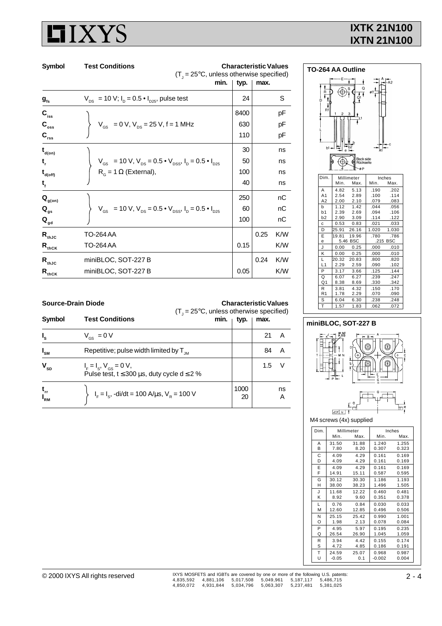# **IIXYS**

### **IXTK 21N100 IXTN 21N100**

| Symbol                                  | <b>Test Conditions</b><br>$(T_{1} = 25^{\circ}C,$ unless otherwise specified)                                              | <b>Characteristic Values</b><br>min.<br>typ. | max. |          |
|-----------------------------------------|----------------------------------------------------------------------------------------------------------------------------|----------------------------------------------|------|----------|
| $g_{\rm fs}$                            | $V_{DS}$ = 10 V; $I_D$ = 0.5 $\bullet$ $I_{D25}$ , pulse test                                                              | 24                                           |      | S        |
| $C_{\text{iss}}$                        |                                                                                                                            | 8400                                         |      | рF       |
| $C_{\rm{oss}}$<br>$C_{rss}$             | $V_{\text{GS}}$ = 0 V, $V_{\text{DS}}$ = 25 V, f = 1 MHz                                                                   | 630<br>110                                   |      | рF<br>рF |
| $t_{\text{\tiny{d(0n)}}}$               |                                                                                                                            | 30                                           |      | ns       |
| t,                                      | $V_{\text{GS}}$ = 10 V, $V_{\text{DS}}$ = 0.5 $\bullet$ $V_{\text{DSS}}$ , $I_{\text{D}}$ = 0.5 $\bullet$ $I_{\text{D25}}$ | 50                                           |      | ns       |
| $\mathbf{t}_{\mathsf{d}(\mathsf{off})}$ | $R_{\alpha}$ = 1 $\Omega$ (External),                                                                                      | 100                                          |      | ns       |
| t,                                      |                                                                                                                            | 40                                           |      | ns       |
| $\mathbf{Q}_{\text{g(on)}}$             |                                                                                                                            | 250                                          |      | nC       |
| $\mathbf{Q}_{gs}$                       | $V_{\text{GS}}$ = 10 V, $V_{\text{DS}}$ = 0.5 $\bullet$ V <sub>DSS</sub> , $I_{\text{D}}$ = 0.5 $\bullet$ $I_{\text{D25}}$ | 60                                           |      | nC       |
| $\mathbf{Q}_{\mathsf{gd}}$              |                                                                                                                            | 100                                          |      | nС       |
| $\mathsf{R}_{\text{thJC}}$              | TO-264 AA                                                                                                                  |                                              | 0.25 | K/W      |
| $R_{thCK}$                              | <b>TO-264 AA</b>                                                                                                           | 0.15                                         |      | K/W      |
| $\mathsf{R}_{\text{thJC}}$              | miniBLOC, SOT-227 B                                                                                                        |                                              | 0.24 | K/W      |
| $R_{thCK}$                              | miniBLOC, SOT-227 B                                                                                                        | 0.05                                         |      | K/W      |



#### **Source-Drain Diode Characteristic Values**

| Symbol                                                                 | $(T_{\text{I}} = 25^{\circ}C$ , unless otherwise specified)<br><b>Test Conditions</b><br>min. | typ.       | max. |         |
|------------------------------------------------------------------------|-----------------------------------------------------------------------------------------------|------------|------|---------|
| $I_{s}$                                                                | $V_{\text{gs}} = 0 V$                                                                         |            | 21   |         |
| $I_{\text{SM}}$                                                        | Repetitive; pulse width limited by $T_{\text{JM}}$                                            |            | 84   |         |
| $\mathbf{V}_{\text{SD}}$                                               | $I_F = I_S$ , $V_{GS} = 0 V$ ,<br>Pulse test, $t \le 300 \mu s$ , duty cycle d $\le 2 \%$     |            | 1.5  |         |
| $\begin{array}{c} \mathbf{t}_{\text{rr}} \\  _{\text{RM}} \end{array}$ | $I_F = I_S$ , -di/dt = 100 A/ $\mu$ s, V <sub>R</sub> = 100 V                                 | 1000<br>20 |      | ns<br>Α |

### **miniBLOC, SOT-227 B**



M4 screws (4x) supplied

| Dim. |         | Millimeter |          | Inches |
|------|---------|------------|----------|--------|
|      | Min.    | Max.       | Min.     | Max.   |
| A    | 31.50   | 31.88      | 1.240    | 1.255  |
| B    | 7.80    | 8.20       | 0.307    | 0.323  |
| С    | 4.09    | 4.29       | 0.161    | 0.169  |
| D    | 4.09    | 4.29       | 0.161    | 0.169  |
| E    | 4.09    | 4.29       | 0.161    | 0.169  |
| F    | 14.91   | 15.11      | 0.587    | 0.595  |
| G    | 30.12   | 30.30      | 1.186    | 1.193  |
| н    | 38.00   | 38.23      | 1.496    | 1.505  |
| J    | 11.68   | 12.22      | 0.460    | 0.481  |
| Κ    | 8.92    | 9.60       | 0.351    | 0.378  |
| L    | 0.76    | 0.84       | 0.030    | 0.033  |
| М    | 12.60   | 12.85      | 0.496    | 0.506  |
| N    | 25.15   | 25.42      | 0.990    | 1.001  |
| O    | 1.98    | 2.13       | 0.078    | 0.084  |
| P    | 4.95    | 5.97       | 0.195    | 0.235  |
| Q    | 26.54   | 26.90      | 1.045    | 1.059  |
| R    | 3.94    | 4.42       | 0.155    | 0.174  |
| S    | 4.72    | 4.85       | 0.186    | 0.191  |
| Т    | 24.59   | 25.07      | 0.968    | 0.987  |
| U    | $-0.05$ | 0.1        | $-0.002$ | 0.004  |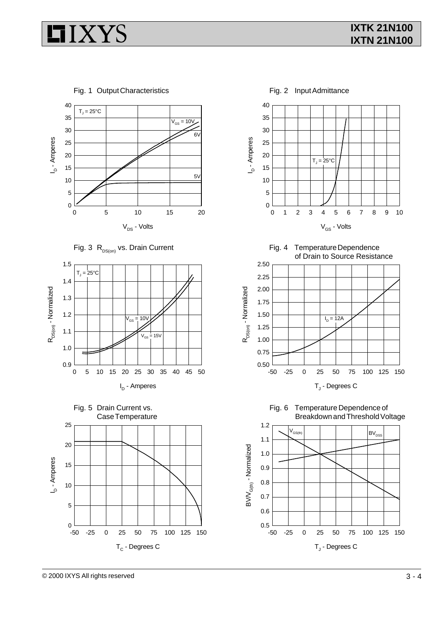# **IIXYS**